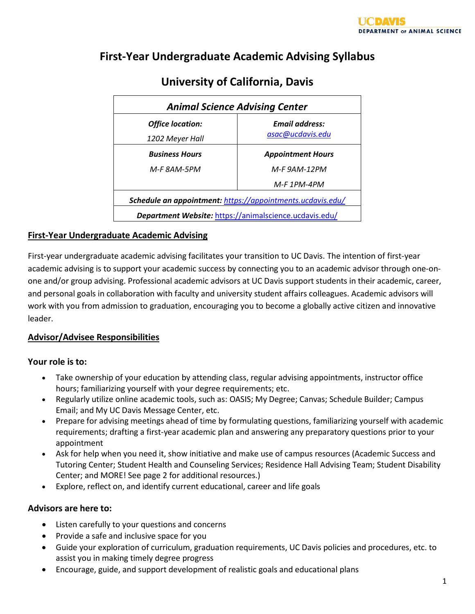## **First-Year Undergraduate Academic Advising Syllabus**

| <b>Animal Science Advising Center</b>                      |                          |  |  |
|------------------------------------------------------------|--------------------------|--|--|
| <b>Office location:</b>                                    | <b>Email address:</b>    |  |  |
| 1202 Meyer Hall                                            | asac@ucdavis.edu         |  |  |
| <b>Business Hours</b>                                      | <b>Appointment Hours</b> |  |  |
| M-F 8AM-5PM                                                | M-F 9AM-12PM             |  |  |
|                                                            | $M-F$ 1PM-4PM            |  |  |
| Schedule an appointment: https://appointments.ucdavis.edu/ |                          |  |  |
| Department Website: https://animalscience.ucdavis.edu/     |                          |  |  |

# **University of California, Davis**

## **First-Year Undergraduate Academic Advising**

First-year undergraduate academic advising facilitates your transition to UC Davis. The intention of first-year academic advising is to support your academic success by connecting you to an academic advisor through one-onone and/or group advising. Professional academic advisors at UC Davis support students in their academic, career, and personal goals in collaboration with faculty and university student affairs colleagues. Academic advisors will work with you from admission to graduation, encouraging you to become a globally active citizen and innovative leader.

## **Advisor/Advisee Responsibilities**

#### **Your role is to:**

- Take ownership of your education by attending class, regular advising appointments, instructor office hours; familiarizing yourself with your degree requirements; etc.
- Regularly utilize online academic tools, such as: OASIS; My Degree; Canvas; Schedule Builder; Campus Email; and My UC Davis Message Center, etc.
- Prepare for advising meetings ahead of time by formulating questions, familiarizing yourself with academic requirements; drafting a first-year academic plan and answering any preparatory questions prior to your appointment
- Ask for help when you need it, show initiative and make use of campus resources (Academic Success and Tutoring Center; Student Health and Counseling Services; Residence Hall Advising Team; Student Disability Center; and MORE! See page 2 for additional resources.)
- Explore, reflect on, and identify current educational, career and life goals

## **Advisors are here to:**

- Listen carefully to your questions and concerns
- Provide a safe and inclusive space for you
- Guide your exploration of curriculum, graduation requirements, UC Davis policies and procedures, etc. to assist you in making timely degree progress
- Encourage, guide, and support development of realistic goals and educational plans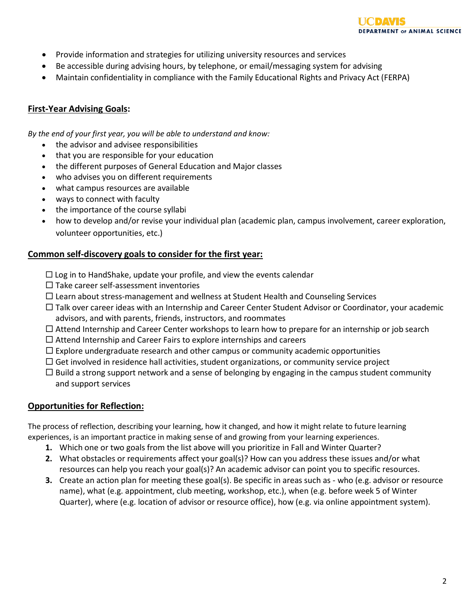

- Provide information and strategies for utilizing university resources and services
- Be accessible during advising hours, by telephone, or email/messaging system for advising
- Maintain confidentiality in compliance with the Family Educational Rights and Privacy Act (FERPA)

#### **First-Year Advising Goals:**

*By the end of your first year, you will be able to understand and know:*

- the advisor and advisee responsibilities
- that you are responsible for your education
- the different purposes of General Education and Major classes
- who advises you on different requirements
- what campus resources are available
- ways to connect with faculty
- the importance of the course syllabi
- how to develop and/or revise your individual plan (academic plan, campus involvement, career exploration, volunteer opportunities, etc.)

#### **Common self-discovery goals to consider for the first year:**

- $\Box$  Log in to HandShake, update your profile, and view the events calendar
- $\square$  Take career self-assessment inventories
- $\Box$  Learn about stress-management and wellness at Student Health and Counseling Services
- $\Box$  Talk over career ideas with an Internship and Career Center Student Advisor or Coordinator, your academic advisors, and with parents, friends, instructors, and roommates
- $\Box$  Attend Internship and Career Center workshops to learn how to prepare for an internship or job search
- $\Box$  Attend Internship and Career Fairs to explore internships and careers
- $\Box$  Explore undergraduate research and other campus or community academic opportunities
- $\Box$  Get involved in residence hall activities, student organizations, or community service project
- $\square$  Build a strong support network and a sense of belonging by engaging in the campus student community and support services

#### **Opportunities for Reflection:**

The process of reflection, describing your learning, how it changed, and how it might relate to future learning experiences, is an important practice in making sense of and growing from your learning experiences.

- **1.** Which one or two goals from the list above will you prioritize in Fall and Winter Quarter?
- **2.** What obstacles or requirements affect your goal(s)? How can you address these issues and/or what resources can help you reach your goal(s)? An academic advisor can point you to specific resources.
- **3.** Create an action plan for meeting these goal(s). Be specific in areas such as who (e.g. advisor or resource name), what (e.g. appointment, club meeting, workshop, etc.), when (e.g. before week 5 of Winter Quarter), where (e.g. location of advisor or resource office), how (e.g. via online appointment system).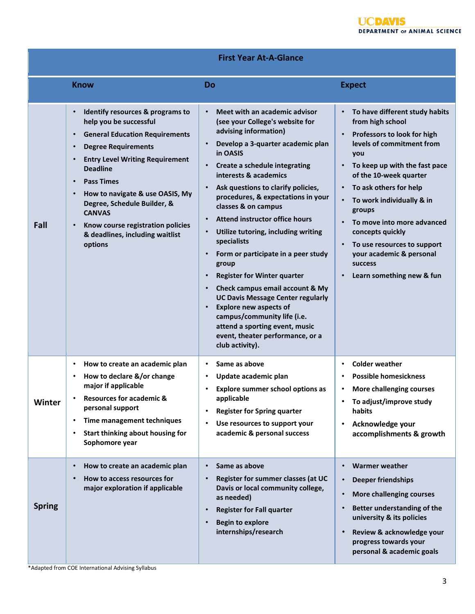|  |  |  |  | <b>First Year At-A-Glance</b> |
|--|--|--|--|-------------------------------|
|--|--|--|--|-------------------------------|

|               | <b>Know</b>                                                                                                                                                                                                                                                                                                                                                                                                                      | Do                                                                                                                                                                                                                                                                                                                                                                                                                                                                                                                                                                                                                                                                                                                                   | <b>Expect</b>                                                                                                                                                                                                                                                                                                                                                                                                 |
|---------------|----------------------------------------------------------------------------------------------------------------------------------------------------------------------------------------------------------------------------------------------------------------------------------------------------------------------------------------------------------------------------------------------------------------------------------|--------------------------------------------------------------------------------------------------------------------------------------------------------------------------------------------------------------------------------------------------------------------------------------------------------------------------------------------------------------------------------------------------------------------------------------------------------------------------------------------------------------------------------------------------------------------------------------------------------------------------------------------------------------------------------------------------------------------------------------|---------------------------------------------------------------------------------------------------------------------------------------------------------------------------------------------------------------------------------------------------------------------------------------------------------------------------------------------------------------------------------------------------------------|
| Fall          | Identify resources & programs to<br>help you be successful<br><b>General Education Requirements</b><br><b>Degree Requirements</b><br><b>Entry Level Writing Requirement</b><br>$\bullet$<br><b>Deadline</b><br><b>Pass Times</b><br>How to navigate & use OASIS, My<br>$\bullet$<br>Degree, Schedule Builder, &<br><b>CANVAS</b><br>Know course registration policies<br>$\bullet$<br>& deadlines, including waitlist<br>options | Meet with an academic advisor<br>(see your College's website for<br>advising information)<br>Develop a 3-quarter academic plan<br>in OASIS<br>Create a schedule integrating<br>interests & academics<br>Ask questions to clarify policies,<br>procedures, & expectations in your<br>classes & on campus<br><b>Attend instructor office hours</b><br>Utilize tutoring, including writing<br>specialists<br>Form or participate in a peer study<br>group<br><b>Register for Winter quarter</b><br>Check campus email account & My<br><b>UC Davis Message Center regularly</b><br><b>Explore new aspects of</b><br>campus/community life (i.e.<br>attend a sporting event, music<br>event, theater performance, or a<br>club activity). | To have different study habits<br>from high school<br>Professors to look for high<br>levels of commitment from<br>you<br>To keep up with the fast pace<br>of the 10-week quarter<br>To ask others for help<br>To work individually & in<br>groups<br>To move into more advanced<br>concepts quickly<br>To use resources to support<br>your academic & personal<br><b>success</b><br>Learn something new & fun |
| <b>Winter</b> | How to create an academic plan<br>٠<br>How to declare &/or change<br>major if applicable<br><b>Resources for academic &amp;</b><br>personal support<br>Time management techniques<br>Start thinking about housing for<br>Sophomore year                                                                                                                                                                                          | Same as above<br>$\bullet$<br>Update academic plan<br>Explore summer school options as<br>applicable<br><b>Register for Spring quarter</b><br>Use resources to support your<br>academic & personal success                                                                                                                                                                                                                                                                                                                                                                                                                                                                                                                           | <b>Colder weather</b><br>$\bullet$<br><b>Possible homesickness</b><br>More challenging courses<br>To adjust/improve study<br>$\bullet$<br>habits<br>Acknowledge your<br>$\bullet$<br>accomplishments & growth                                                                                                                                                                                                 |
| <b>Spring</b> | How to create an academic plan<br>How to access resources for<br>major exploration if applicable                                                                                                                                                                                                                                                                                                                                 | Same as above<br>Register for summer classes (at UC<br>Davis or local community college,<br>as needed)<br><b>Register for Fall quarter</b><br><b>Begin to explore</b><br>internships/research                                                                                                                                                                                                                                                                                                                                                                                                                                                                                                                                        | <b>Warmer weather</b><br><b>Deeper friendships</b><br>More challenging courses<br>Better understanding of the<br>university & its policies<br>Review & acknowledge your<br>progress towards your<br>personal & academic goals                                                                                                                                                                                 |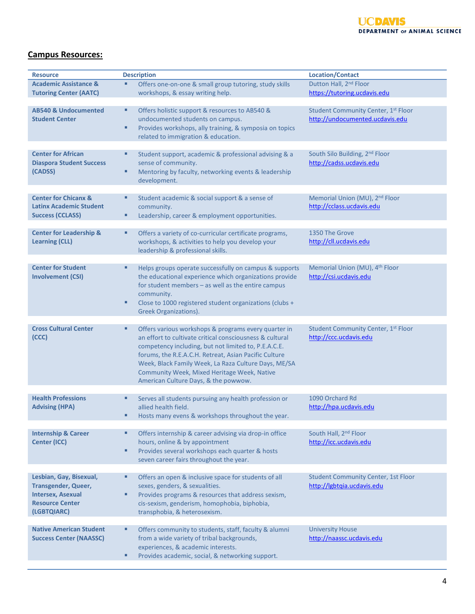## **Campus Resources:**

| <b>Resource</b>                    | <b>Description</b>                                           | <b>Location/Contact</b>                    |
|------------------------------------|--------------------------------------------------------------|--------------------------------------------|
| <b>Academic Assistance &amp;</b>   | Offers one-on-one & small group tutoring, study skills<br>Ξ  | Dutton Hall, 2 <sup>nd</sup> Floor         |
| <b>Tutoring Center (AATC)</b>      | workshops, & essay writing help.                             | https://tutoring.ucdavis.edu               |
|                                    |                                                              |                                            |
| <b>AB540 &amp; Undocumented</b>    | Ξ<br>Offers holistic support & resources to AB540 &          | Student Community Center, 1st Floor        |
| <b>Student Center</b>              | undocumented students on campus.                             | http://undocumented.ucdavis.edu            |
|                                    | Ξ<br>Provides workshops, ally training, & symposia on topics |                                            |
|                                    | related to immigration & education.                          |                                            |
|                                    |                                                              |                                            |
| <b>Center for African</b>          | Ξ<br>Student support, academic & professional advising & a   | South Silo Building, 2nd Floor             |
| <b>Diaspora Student Success</b>    | sense of community.                                          | http://cadss.ucdavis.edu                   |
| (CADSS)                            | Mentoring by faculty, networking events & leadership<br>٠    |                                            |
|                                    | development.                                                 |                                            |
|                                    |                                                              |                                            |
| <b>Center for Chicanx &amp;</b>    | Ξ<br>Student academic & social support & a sense of          | Memorial Union (MU), 2 <sup>nd</sup> Floor |
| <b>Latinx Academic Student</b>     | community.                                                   | http://cclass.ucdavis.edu                  |
| <b>Success (CCLASS)</b>            | Leadership, career & employment opportunities.<br>٠          |                                            |
|                                    |                                                              |                                            |
| <b>Center for Leadership &amp;</b> | Ξ<br>Offers a variety of co-curricular certificate programs, | 1350 The Grove                             |
| <b>Learning (CLL)</b>              | workshops, & activities to help you develop your             | http://cll.ucdavis.edu                     |
|                                    | leadership & professional skills.                            |                                            |
| <b>Center for Student</b>          | Ξ<br>Helps groups operate successfully on campus & supports  | Memorial Union (MU), 4 <sup>th</sup> Floor |
| <b>Involvement (CSI)</b>           | the educational experience which organizations provide       | http://csi.ucdavis.edu                     |
|                                    | for student members - as well as the entire campus           |                                            |
|                                    | community.                                                   |                                            |
|                                    | ٠<br>Close to 1000 registered student organizations (clubs + |                                            |
|                                    | Greek Organizations).                                        |                                            |
|                                    |                                                              |                                            |
| <b>Cross Cultural Center</b>       | Offers various workshops & programs every quarter in<br>Ξ    | Student Community Center, 1st Floor        |
| (CCC)                              | an effort to cultivate critical consciousness & cultural     | http://ccc.ucdavis.edu                     |
|                                    | competency including, but not limited to, P.E.A.C.E.         |                                            |
|                                    | forums, the R.E.A.C.H. Retreat, Asian Pacific Culture        |                                            |
|                                    | Week, Black Family Week, La Raza Culture Days, ME/SA         |                                            |
|                                    | Community Week, Mixed Heritage Week, Native                  |                                            |
|                                    | American Culture Days, & the powwow.                         |                                            |
|                                    |                                                              |                                            |
| <b>Health Professions</b>          | Ξ<br>Serves all students pursuing any health profession or   | 1090 Orchard Rd                            |
| <b>Advising (HPA)</b>              | allied health field.                                         | http://hpa.ucdavis.edu                     |
|                                    | Hosts many evens & workshops throughout the year.            |                                            |
| <b>Internship &amp; Career</b>     | Offers internship & career advising via drop-in office<br>Ξ  | South Hall, 2 <sup>nd</sup> Floor          |
| <b>Center (ICC)</b>                | hours, online & by appointment                               | http://icc.ucdavis.edu                     |
|                                    | Provides several workshops each quarter & hosts<br>Ξ         |                                            |
|                                    | seven career fairs throughout the year.                      |                                            |
|                                    |                                                              |                                            |
| Lesbian, Gay, Bisexual,            | Offers an open & inclusive space for students of all<br>Ξ    | <b>Student Community Center, 1st Floor</b> |
| <b>Transgender, Queer,</b>         | sexes, genders, & sexualities.                               | http://lgbtqia.ucdavis.edu                 |
| <b>Intersex, Asexual</b>           | Provides programs & resources that address sexism,<br>Ξ      |                                            |
| <b>Resource Center</b>             | cis-sexism, genderism, homophobia, biphobia,                 |                                            |
| (LGBTQIARC)                        | transphobia, & heterosexism.                                 |                                            |
|                                    |                                                              |                                            |
| <b>Native American Student</b>     | Offers community to students, staff, faculty & alumni<br>Ξ   | <b>University House</b>                    |
| <b>Success Center (NAASSC)</b>     | from a wide variety of tribal backgrounds,                   | http://naassc.ucdavis.edu                  |
|                                    | experiences, & academic interests.                           |                                            |
|                                    | ٠<br>Provides academic, social, & networking support.        |                                            |
|                                    |                                                              |                                            |